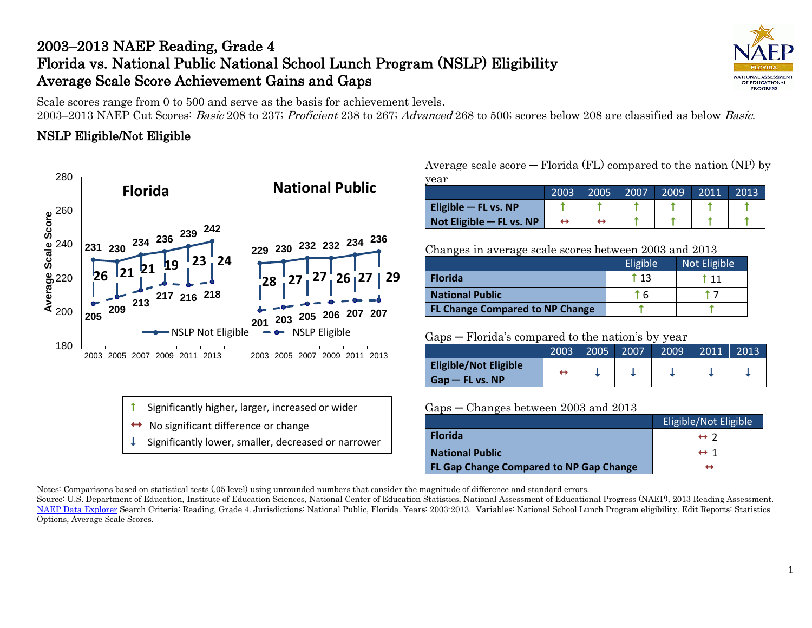# 2003–2013 NAEP Reading, Grade 4 Florida vs. National Public National School Lunch Program (NSLP) Eligibility Average Scale Score Achievement Gains and Gaps



Scale scores range from 0 to 500 and serve as the basis for achievement levels.

2003–2013 NAEP Cut Scores: Basic 208 to 237; Proficient 238 to 267; Advanced 268 to 500; scores below 208 are classified as below Basic.

## NSLP Eligible/Not Eligible



- Significantly higher, larger, increased or wider
- No significant difference or change
- Significantly lower, smaller, decreased or narrower

Average scale score  $-$  Florida (FL) compared to the nation (NP) by year

|                          | 2003 | 2005 | 2007 | 2009' | 2011 | 2013 |
|--------------------------|------|------|------|-------|------|------|
| Eligible $-$ FL vs. NP   |      |      |      |       |      |      |
| Not Eligible - FL vs. NP |      |      |      |       |      |      |

Changes in average scale scores between 2003 and 2013

|                                        | Eligible | Not Eligible  |
|----------------------------------------|----------|---------------|
| <b>Florida</b>                         | t 13     | $^{\circ}$ 11 |
| <b>National Public</b>                 |          |               |
| <b>FL Change Compared to NP Change</b> |          |               |

### Gaps ─ Florida's compared to the nation's by year

|                              | 2003 | 2005 | 2007 | 2009 | 2011 | 2013 |
|------------------------------|------|------|------|------|------|------|
| <b>Eligible/Not Eligible</b> |      |      |      |      |      |      |
| $G$ ap — FL vs. NP           |      |      |      |      |      |      |

### Gaps ─ Changes between 2003 and 2013

|                                         | Eligible/Not Eligible |
|-----------------------------------------|-----------------------|
| <b>Florida</b>                          | $\leftrightarrow$ 2   |
| <b>National Public</b>                  | $\leftrightarrow$ 1   |
| FL Gap Change Compared to NP Gap Change | ↤                     |

Notes: Comparisons based on statistical tests (.05 level) using unrounded numbers that consider the magnitude of difference and standard errors.

Source: U.S. Department of Education, Institute of Education Sciences, National Center of Education Statistics, National Assessment of Educational Progress (NAEP), 2013 Reading Assessment. [NAEP Data Explorer](http://nces.ed.gov/nationsreportcard/naepdata/) Search Criteria: Reading, Grade 4. Jurisdictions: National Public, Florida. Years: 2003-2013. Variables: National School Lunch Program eligibility. Edit Reports: Statistics Options, Average Scale Scores.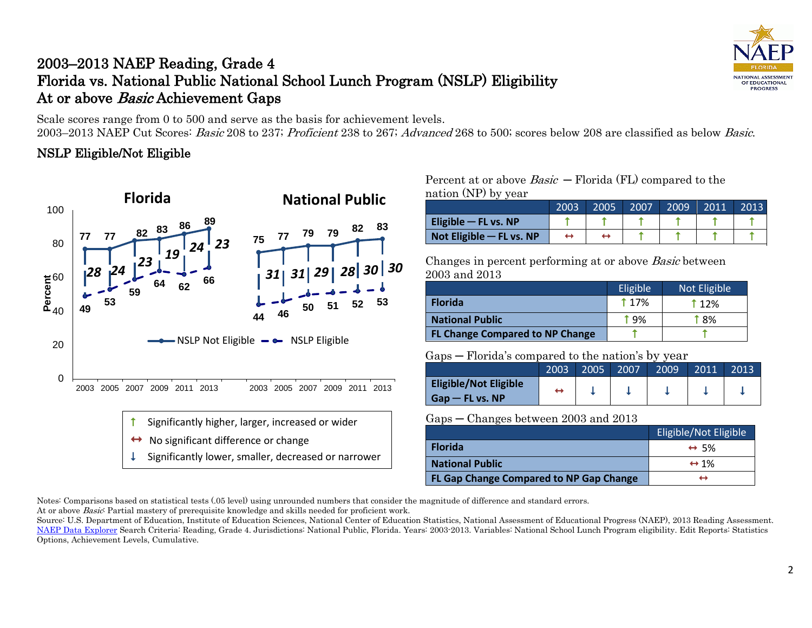# 2003–2013 NAEP Reading, Grade 4 Florida vs. National Public National School Lunch Program (NSLP) Eligibility At or above *Basic* Achievement Gaps



Scale scores range from 0 to 500 and serve as the basis for achievement levels. 2003–2013 NAEP Cut Scores: Basic 208 to 237; Proficient 238 to 267; Advanced 268 to 500; scores below 208 are classified as below Basic.

## NSLP Eligible/Not Eligible



Significantly lower, smaller, decreased or narrower

#### Percent at or above  $Basic$  – Florida (FL) compared to the nation (NP) by year

|                            | 2003 | 2005 | 2007 | 2009 | 2011 | 2013 |
|----------------------------|------|------|------|------|------|------|
| Eligible $-$ FL vs. NP     |      |      |      |      |      |      |
| Not Eligible $-$ FL vs. NP |      |      |      |      |      |      |

Changes in percent performing at or above Basic between 2003 and 2013

|                                        | Eligible    | Not Eligible  |
|----------------------------------------|-------------|---------------|
| <b>Florida</b>                         | <b>117%</b> | 112%          |
| <b>National Public</b>                 | † ዓ%        | $^{\circ}8\%$ |
| <b>FL Change Compared to NP Change</b> |             |               |

#### Gaps ─ Florida's compared to the nation's by year

|                                                    | 2003 | 2005 | 2007 | 2009 | 2011 | 2013 |
|----------------------------------------------------|------|------|------|------|------|------|
| <b>Eligible/Not Eligible</b><br>$G$ ap — FL vs. NP |      |      |      |      |      |      |

#### Gaps ─ Changes between 2003 and 2013

|                                         | Eligible/Not Eligible |
|-----------------------------------------|-----------------------|
| <b>Florida</b>                          | $\leftrightarrow$ 5%  |
| <b>National Public</b>                  | $\leftrightarrow$ 1%  |
| FL Gap Change Compared to NP Gap Change |                       |

Notes: Comparisons based on statistical tests (.05 level) using unrounded numbers that consider the magnitude of difference and standard errors. At or above Basic: Partial mastery of prerequisite knowledge and skills needed for proficient work.

Source: U.S. Department of Education, Institute of Education Sciences, National Center of Education Statistics, National Assessment of Educational Progress (NAEP), 2013 Reading Assessment. [NAEP Data Explorer](http://nces.ed.gov/nationsreportcard/naepdata/) Search Criteria: Reading, Grade 4. Jurisdictions: National Public, Florida. Years: 2003-2013. Variables: National School Lunch Program eligibility. Edit Reports: Statistics Options, Achievement Levels, Cumulative.